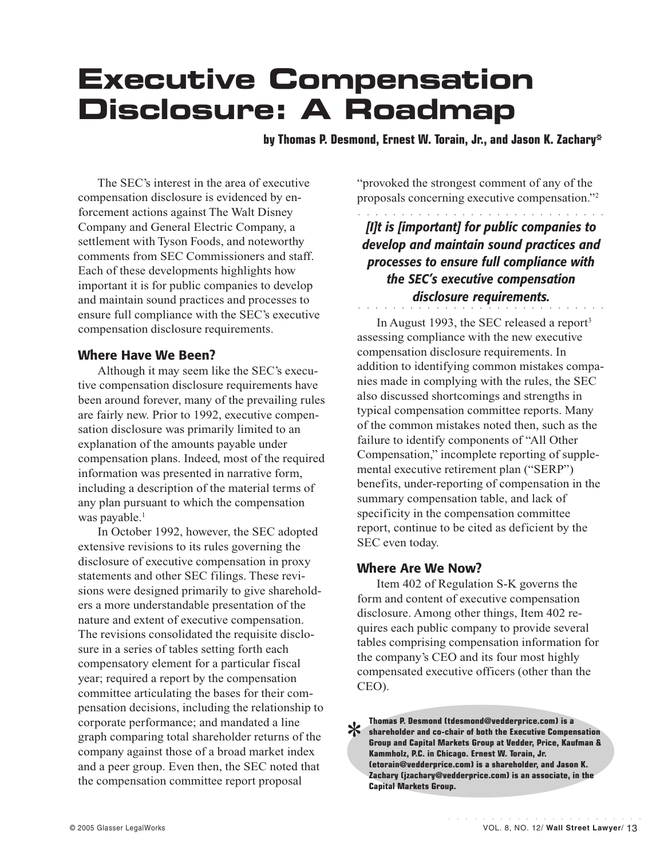# **Executive Compensation Disclosure: A Roadmap**

**by Thomas P. Desmond, Ernest W. Torain, Jr., and Jason K. Zachary\***

The SEC's interest in the area of executive compensation disclosure is evidenced by enforcement actions against The Walt Disney Company and General Electric Company, a settlement with Tyson Foods, and noteworthy comments from SEC Commissioners and staff. Each of these developments highlights how important it is for public companies to develop and maintain sound practices and processes to ensure full compliance with the SEC's executive compensation disclosure requirements.

#### **Where Have We Been?**

Although it may seem like the SEC's executive compensation disclosure requirements have been around forever, many of the prevailing rules are fairly new. Prior to 1992, executive compensation disclosure was primarily limited to an explanation of the amounts payable under compensation plans. Indeed, most of the required information was presented in narrative form, including a description of the material terms of any plan pursuant to which the compensation was payable.<sup>1</sup>

In October 1992, however, the SEC adopted extensive revisions to its rules governing the disclosure of executive compensation in proxy statements and other SEC filings. These revisions were designed primarily to give shareholders a more understandable presentation of the nature and extent of executive compensation. The revisions consolidated the requisite disclosure in a series of tables setting forth each compensatory element for a particular fiscal year; required a report by the compensation committee articulating the bases for their compensation decisions, including the relationship to corporate performance; and mandated a line graph comparing total shareholder returns of the company against those of a broad market index and a peer group. Even then, the SEC noted that the compensation committee report proposal

"provoked the strongest comment of any of the proposals concerning executive compensation."2

a a a aaaaaaaaaaaaaaaaaaaaaaaaaa

*[I]t is [important] for public companies to develop and maintain sound practices and processes to ensure full compliance with the SEC's executive compensation disclosure requirements.*

a a a aaaaaaaaaaaaaaaaaaaaaaaaaa

In August 1993, the SEC released a report<sup>3</sup> assessing compliance with the new executive compensation disclosure requirements. In addition to identifying common mistakes companies made in complying with the rules, the SEC also discussed shortcomings and strengths in typical compensation committee reports. Many of the common mistakes noted then, such as the failure to identify components of "All Other Compensation," incomplete reporting of supplemental executive retirement plan ("SERP") benefits, under-reporting of compensation in the summary compensation table, and lack of specificity in the compensation committee report, continue to be cited as deficient by the SEC even today.

## **Where Are We Now?**

Item 402 of Regulation S-K governs the form and content of executive compensation disclosure. Among other things, Item 402 requires each public company to provide several tables comprising compensation information for the company's CEO and its four most highly compensated executive officers (other than the CEO).

**Thomas P. Desmond (tdesmond@vedderprice.com) is a**<br>shareholder and co-chair of both the Executive Compe<br>Group and Capital Markets Group at Vedder, Price, Kau<br>Kammholz. P.C. in Chicago. Ernest W. Torain. Jr. **shareholder and co-chair of both the Executive Compensation Group and Capital Markets Group at Vedder, Price, Kaufman & Kammholz, P.C. in Chicago. Ernest W. Torain, Jr. (etorain@vedderprice.com) is a shareholder, and Jason K. Zachary (jzachary@vedderprice.com) is an associate, in the Capital Markets Group.**

aaaaaaaaaaaaaaaaaaaaaaa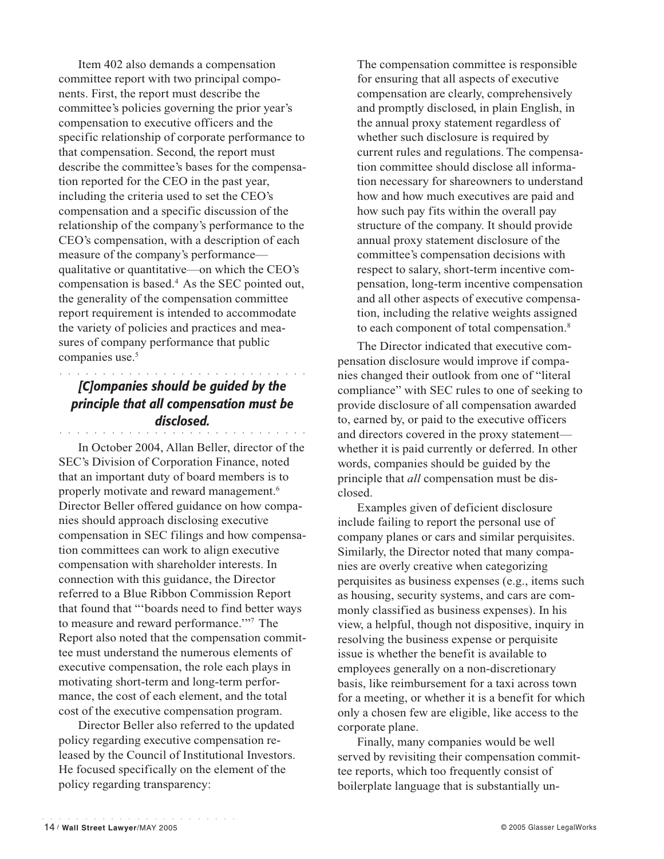Item 402 also demands a compensation committee report with two principal components. First, the report must describe the committee's policies governing the prior year's compensation to executive officers and the specific relationship of corporate performance to that compensation. Second, the report must describe the committee's bases for the compensation reported for the CEO in the past year, including the criteria used to set the CEO's compensation and a specific discussion of the relationship of the company's performance to the CEO's compensation, with a description of each measure of the company's performance qualitative or quantitative—on which the CEO's compensation is based.4 As the SEC pointed out, the generality of the compensation committee report requirement is intended to accommodate the variety of policies and practices and measures of company performance that public companies use.<sup>5</sup>

## a a a aaaaaaaaaaaaaaaaaaaaaaaaaa *[C]ompanies should be guided by the principle that all compensation must be disclosed.*

a a a aaaaaaaaaaaaaaaaaaaaaaaaaa

In October 2004, Allan Beller, director of the SEC's Division of Corporation Finance, noted that an important duty of board members is to properly motivate and reward management.6 Director Beller offered guidance on how companies should approach disclosing executive compensation in SEC filings and how compensation committees can work to align executive compensation with shareholder interests. In connection with this guidance, the Director referred to a Blue Ribbon Commission Report that found that "'boards need to find better ways to measure and reward performance.'"7 The Report also noted that the compensation committee must understand the numerous elements of executive compensation, the role each plays in motivating short-term and long-term performance, the cost of each element, and the total cost of the executive compensation program.

Director Beller also referred to the updated policy regarding executive compensation released by the Council of Institutional Investors. He focused specifically on the element of the policy regarding transparency:

The compensation committee is responsible for ensuring that all aspects of executive compensation are clearly, comprehensively and promptly disclosed, in plain English, in the annual proxy statement regardless of whether such disclosure is required by current rules and regulations. The compensation committee should disclose all information necessary for shareowners to understand how and how much executives are paid and how such pay fits within the overall pay structure of the company. It should provide annual proxy statement disclosure of the committee's compensation decisions with respect to salary, short-term incentive compensation, long-term incentive compensation and all other aspects of executive compensation, including the relative weights assigned to each component of total compensation.<sup>8</sup>

The Director indicated that executive compensation disclosure would improve if companies changed their outlook from one of "literal compliance" with SEC rules to one of seeking to provide disclosure of all compensation awarded to, earned by, or paid to the executive officers and directors covered in the proxy statement whether it is paid currently or deferred. In other words, companies should be guided by the principle that *all* compensation must be disclosed.

Examples given of deficient disclosure include failing to report the personal use of company planes or cars and similar perquisites. Similarly, the Director noted that many companies are overly creative when categorizing perquisites as business expenses (e.g., items such as housing, security systems, and cars are commonly classified as business expenses). In his view, a helpful, though not dispositive, inquiry in resolving the business expense or perquisite issue is whether the benefit is available to employees generally on a non-discretionary basis, like reimbursement for a taxi across town for a meeting, or whether it is a benefit for which only a chosen few are eligible, like access to the corporate plane.

Finally, many companies would be well served by revisiting their compensation committee reports, which too frequently consist of boilerplate language that is substantially un-

aaaaaaaaaaaaaaaaaaaaaaa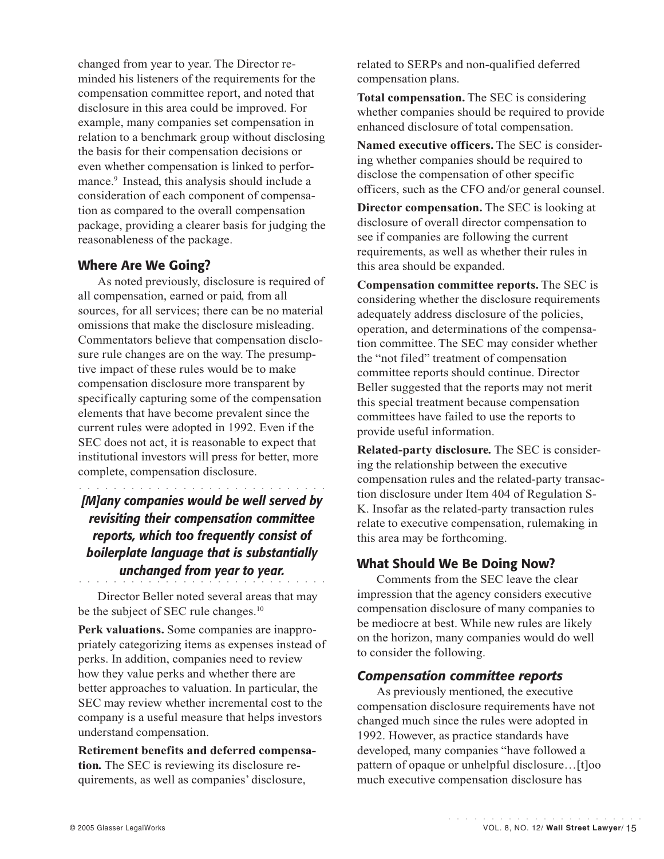changed from year to year. The Director reminded his listeners of the requirements for the compensation committee report, and noted that disclosure in this area could be improved. For example, many companies set compensation in relation to a benchmark group without disclosing the basis for their compensation decisions or even whether compensation is linked to performance.<sup>9</sup> Instead, this analysis should include a consideration of each component of compensation as compared to the overall compensation package, providing a clearer basis for judging the reasonableness of the package.

## **Where Are We Going?**

As noted previously, disclosure is required of all compensation, earned or paid, from all sources, for all services; there can be no material omissions that make the disclosure misleading. Commentators believe that compensation disclosure rule changes are on the way. The presumptive impact of these rules would be to make compensation disclosure more transparent by specifically capturing some of the compensation elements that have become prevalent since the current rules were adopted in 1992. Even if the SEC does not act, it is reasonable to expect that institutional investors will press for better, more complete, compensation disclosure.

# a a a aaaaaaaaaaaaaaaaaaaaaaaaaa *[M]any companies would be well served by revisiting their compensation committee reports, which too frequently consist of boilerplate language that is substantially unchanged from year to year.*

a a a aaaaaaaaaaaaaaaaaaaaaaaaaa Director Beller noted several areas that may be the subject of SEC rule changes.<sup>10</sup>

**Perk valuations.** Some companies are inappropriately categorizing items as expenses instead of perks. In addition, companies need to review how they value perks and whether there are better approaches to valuation. In particular, the SEC may review whether incremental cost to the company is a useful measure that helps investors understand compensation.

**Retirement benefits and deferred compensation***.* The SEC is reviewing its disclosure requirements, as well as companies' disclosure,

related to SERPs and non-qualified deferred compensation plans.

**Total compensation.** The SEC is considering whether companies should be required to provide enhanced disclosure of total compensation.

**Named executive officers.** The SEC is considering whether companies should be required to disclose the compensation of other specific officers, such as the CFO and/or general counsel.

**Director compensation.** The SEC is looking at disclosure of overall director compensation to see if companies are following the current requirements, as well as whether their rules in this area should be expanded.

**Compensation committee reports.** The SEC is considering whether the disclosure requirements adequately address disclosure of the policies, operation, and determinations of the compensation committee. The SEC may consider whether the "not filed" treatment of compensation committee reports should continue. Director Beller suggested that the reports may not merit this special treatment because compensation committees have failed to use the reports to provide useful information.

**Related-party disclosure***.* The SEC is considering the relationship between the executive compensation rules and the related-party transaction disclosure under Item 404 of Regulation S-K. Insofar as the related-party transaction rules relate to executive compensation, rulemaking in this area may be forthcoming.

## **What Should We Be Doing Now?**

Comments from the SEC leave the clear impression that the agency considers executive compensation disclosure of many companies to be mediocre at best. While new rules are likely on the horizon, many companies would do well to consider the following.

#### *Compensation committee reports*

As previously mentioned, the executive compensation disclosure requirements have not changed much since the rules were adopted in 1992. However, as practice standards have developed, many companies "have followed a pattern of opaque or unhelpful disclosure…[t]oo much executive compensation disclosure has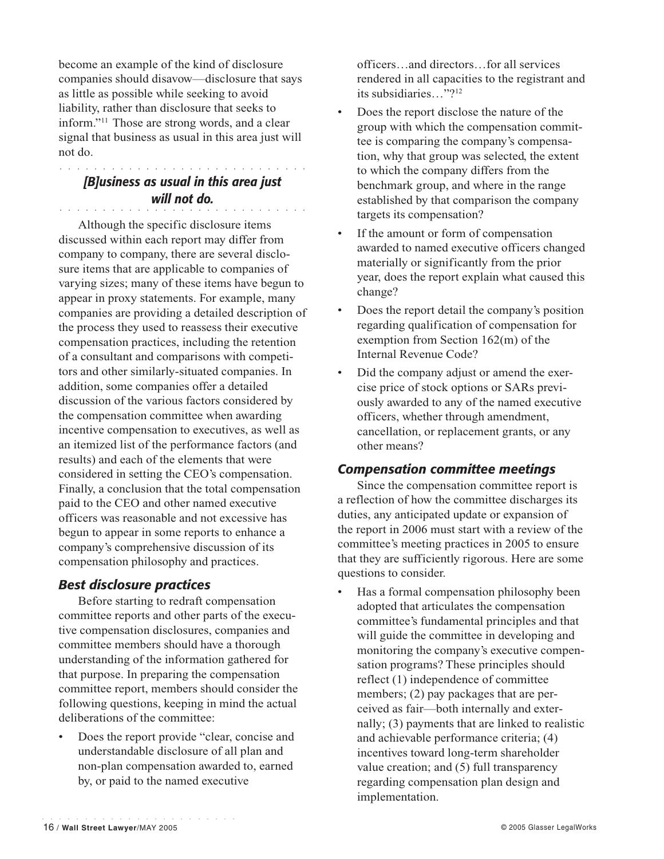become an example of the kind of disclosure companies should disavow—disclosure that says as little as possible while seeking to avoid liability, rather than disclosure that seeks to inform."11 Those are strong words, and a clear signal that business as usual in this area just will not do.

#### *[B]usiness as usual in this area just* a a a aaaaaaaaaaaaaaaaaaaaaaaaaa *will not do.*

a a a aaaaaaaaaaaaaaaaaaaaaaaaaa

Although the specific disclosure items discussed within each report may differ from company to company, there are several disclosure items that are applicable to companies of varying sizes; many of these items have begun to appear in proxy statements. For example, many companies are providing a detailed description of the process they used to reassess their executive compensation practices, including the retention of a consultant and comparisons with competitors and other similarly-situated companies. In addition, some companies offer a detailed discussion of the various factors considered by the compensation committee when awarding incentive compensation to executives, as well as an itemized list of the performance factors (and results) and each of the elements that were considered in setting the CEO's compensation. Finally, a conclusion that the total compensation paid to the CEO and other named executive officers was reasonable and not excessive has begun to appear in some reports to enhance a company's comprehensive discussion of its compensation philosophy and practices.

## *Best disclosure practices*

Before starting to redraft compensation committee reports and other parts of the executive compensation disclosures, companies and committee members should have a thorough understanding of the information gathered for that purpose. In preparing the compensation committee report, members should consider the following questions, keeping in mind the actual deliberations of the committee:

Does the report provide "clear, concise and understandable disclosure of all plan and non-plan compensation awarded to, earned by, or paid to the named executive

officers…and directors…for all services rendered in all capacities to the registrant and its subsidiaries…"?12

- Does the report disclose the nature of the group with which the compensation committee is comparing the company's compensation, why that group was selected, the extent to which the company differs from the benchmark group, and where in the range established by that comparison the company targets its compensation?
- If the amount or form of compensation awarded to named executive officers changed materially or significantly from the prior year, does the report explain what caused this change?
- Does the report detail the company's position regarding qualification of compensation for exemption from Section 162(m) of the Internal Revenue Code?
- Did the company adjust or amend the exercise price of stock options or SARs previously awarded to any of the named executive officers, whether through amendment, cancellation, or replacement grants, or any other means?

## *Compensation committee meetings*

Since the compensation committee report is a reflection of how the committee discharges its duties, any anticipated update or expansion of the report in 2006 must start with a review of the committee's meeting practices in 2005 to ensure that they are sufficiently rigorous. Here are some questions to consider.

• Has a formal compensation philosophy been adopted that articulates the compensation committee's fundamental principles and that will guide the committee in developing and monitoring the company's executive compensation programs? These principles should reflect (1) independence of committee members; (2) pay packages that are perceived as fair—both internally and externally; (3) payments that are linked to realistic and achievable performance criteria; (4) incentives toward long-term shareholder value creation; and (5) full transparency regarding compensation plan design and implementation.

aaaaaaaaaaaaaaaaaaaaaaa